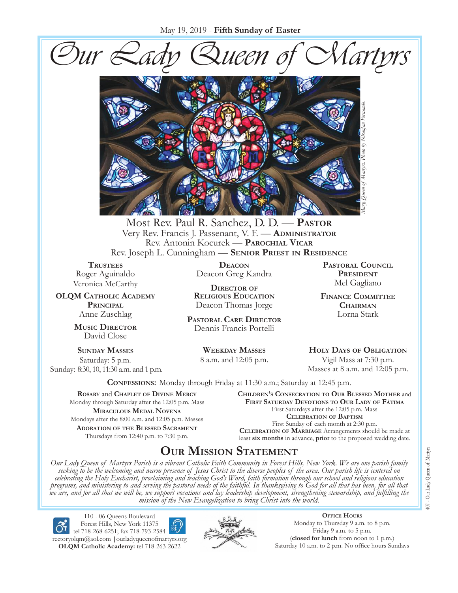May 19, 2019 - **Fifth Sunday of Easter**

Our Lady Queen of Martyrs



Most Rev. Paul R. Sanchez, D. D. — **Pastor** Very Rev. Francis J. Passenant, V. F. — **Administrator** Rev. Antonin Kocurek — **Parochial Vicar** Rev. Joseph L. Cunningham — **Senior Priest in Residence**

**TRUSTEES** Roger Aguinaldo Veronica McCarthy

**OLQM Catholic Academy Principal** Anne Zuschlag

> **Music Director** David Close

**Sunday Masses** Saturday: 5 p.m. Sunday: 8:30, 10, 11:30 a.m. and 1 p.m.

**Deacon** Deacon Greg Kandra

**Director of Religious Education** Deacon Thomas Jorge

**Pastoral Care Director** Dennis Francis Portelli

> **Weekday Masses** 8 a.m. and 12:05 p.m.

**Pastoral Council** PRESIDENT Mel Gagliano

**Finance Committee Chairman** Lorna Stark

**Holy Days of Obligation** Vigil Mass at 7:30 p.m. Masses at 8 a.m. and 12:05 p.m.

**Confessions:** Monday through Friday at 11:30 a.m.; Saturday at 12:45 p.m.

**Rosary** and **Chaplet of Divine Mercy** Monday through Saturday after the 12:05 p.m. Mass **Miraculous Medal Novena** Mondays after the 8:00 a.m. and 12:05 p.m. Masses **Adoration of the Blessed Sacrament** Thursdays from 12:40 p.m. to 7:30 p.m.

**Children's Consecration to Our Blessed Mother** and **First Saturday Devotions to Our Lady of Fátima** First Saturdays after the 12:05 p.m. Mass **Celebration of Baptism** First Sunday of each month at 2:30 p.m. **Celebration of Marriage** Arrangements should be made at least **six months** in advance, **prior** to the proposed wedding date.

# **Our Mission Statement**

Our Lady Queen of Martyrs Parish is a vibrant Catholic Faith Community in Forest Hills, New York. We are one parish family<br>seeking to be the welcoming and warm presence of Jesus Christ to the diverse peoples of the area. O *celebrating the Holy Eucharist, proclaiming and teaching God's Word, faith formation through our school and religious education*  programs, and ministering to and serving the pastoral needs of the faithful. In thanksgiving to God for all that has been, for all that<br>we are, and for all that we will be, we support vocations and lay leadership developme *mission of the New Evangelization to bring Christ into the world.*

110 - 06 Queens Boulevard Forest Hills, New York 11375 tel 718-268-6251; fax 718-793-2584 [rectoryolqm@aol.com](mailto:rectoryolqm@aol.com) **|**[ourladyqueenofmartyrs.org](www.ourladyqueenofmartyrs.org) **OLQM Catholic Academy:** tel 718-263-2622



**Office Hours** Monday to Thursday 9 a.m. to 8 p.m. Friday 9 a.m. to 5 p.m. (**closed for lunch** from noon to 1 p.m.)<br>Saturday 10 a.m. to 2 p.m. No office hours Sundays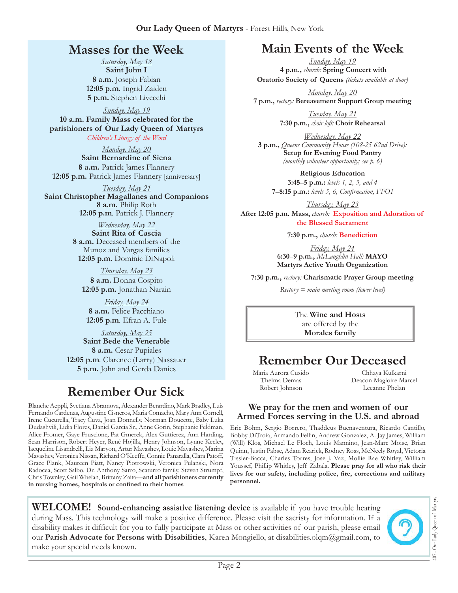## **Masses for the Week**

*Saturday, May 18*  **Saint John I 8 a.m.** Joseph Fabian **12:05 p.m***.* Ingrid Zaiden **5 p.m.** Stephen Livecchi

*Sunday, May 19*  **10 a.m. Family Mass celebrated for the parishioners of Our Lady Queen of Martyrs** *Children's Liturgy of the Word* 

*Monday, May 20*  **Saint Bernardine of Siena 8 a.m.** Patrick James Flannery **12:05 p.m.** Patrick James Flannery [anniversary]

*Tuesday, May 21*  **Saint Christopher Magallanes and Companions 8 a.m.** Philip Roth **12:05 p.m***.* Patrick J. Flannery

> *Wednesday, May 22*  **Saint Rita of Cascia 8 a.m.** Deceased members of the Munoz and Vargas families **12:05 p.m***.* Dominic DiNapoli

*Thursday, May 23*  **8 a.m.** Donna Cospito **12:05 p.m.** Jonathan Narain

*Friday, May 24*  **8 a.m.** Felice Pacchiano **12:05 p.m***.* Efran A. Fule

*Saturday, May 25*  **Saint Bede the Venerable 8 a.m.** Cesar Pupiales **12:05 p.m***.* Clarence (Larry) Nassauer **5 p.m.** John and Gerda Danies

# **Remember Our Sick**

Blanche Aeppli, Svetiana Abramova, Alexander Berardino, Mark Bradley, Luis Fernando Cardenas, Augustine Cisneros, Maria Comacho, Mary Ann Cornell, Irene Cucurella, Tracy Cuva, Joan Donnelly, Norman Doucette, Baby Luka Dudashvili, Lidia Flores, Daniel Garcia Sr., Anne Gorin, Stephanie Feldman, Alice Fromer, Gaye Fruscione, Pat Gmerek, Alex Guttierez, Ann Harding, Sean Harrison, Robert Heyer, René Hojilla, Henry Johnson, Lynne Keeley, Jacqueline Lisandrelli, Liz Maryon, Artur Mavashev, Louie Mavashev, Marina Mavashev, Veronica Nissan, Richard O'Keeffe, Connie Panaralla, Clara Patoff, Grace Plank, Maureen Piatt, Nancy Piotrowski, Veronica Pulanski, Nora Radocea, Scott Salbo, Dr. Anthony Sarro, Scaturro family, Steven Strumpf, Chris Townley, Gail Whelan, Brittany Zaita—**and all parishioners currently in nursing homes, hospitals or confined to their homes**

# **Main Events of the Week**

*Sunday, May 19*  **4 p.m.,** *church:* **Spring Concert with Oratorio Society of Queens** *(tickets available at door)*

*Monday, May 20*  **7 p.m.,** *rectory:* **Bereavement Support Group meeting**

> *Tuesday, May 21*  **7:30 p.m.,** *choir loft:* **Choir Rehearsal**

*Wednesday, May 22*  **3 p.m.,** *Queens Community House (108-25 62nd Drive):*  **Setup for Evening Food Pantry** *(monthly volunteer opportunity; see p. 6)*

**Religious Education 3:45**–**5 p.m.:** *levels 1, 2, 3, and 4*  **7**–**8:15 p.m.:** *levels 5, 6, Confirmation, FFO  I*

*Thursday, May 23*  **After 12:05 p.m. Mass,** *church:* **Exposition and Adoration of the Blessed Sacrament**

**7:30 p.m.,** *church:* **Benediction** 

*Friday, May 24*  **6:30**–**9 p.m.,** *McLaughlin Hall:* **MAYO Martyrs Active Youth Organization**

**7:30 p.m.,** *rectory:* **Charismatic Prayer Group meeting**

*Rectory* = *main meeting room (lower level)*

The **Wine and Hosts**  are offered by the **Morales family**

# **Remember Our Deceased**

Maria Aurora Cusido Thelma Demas Robert Johnson

Chhaya Kulkarni Deacon Magloire Marcel Leeanne Phelan

#### **We pray for the men and women of our Armed Forces serving in the U.S. and abroad**

Eric Böhm, Sergio Borrero, Thaddeus Buenaventura, Ricardo Cantillo, Bobby DiTroia, Armando Fellin, Andrew Gonzalez, A. Jay James, William (Will) Klos, Michael Le Floch, Louis Mannino, Jean-Marc Moïse, Brian Quinn, Justin Pabse, Adam Rearick, Rodney Ross, McNeely Royal, Victoria Tissler-Bacca, Charles Torres, Jose J. Vaz, Mollie Rae Whitley, William Youssef, Phillip Whitley, Jeff Zabala. **Please pray for all who risk their lives for our safety, including police, fire, corrections and military personnel.**

**WELCOME! Sound-enhancing assistive listening device** is available if you have trouble hearing during Mass. This technology will make a positive difference. Please visit the sacristy for information. If a disability makes it difficult for you to fully participate at Mass or other activities of our parish, please email our Parish Advocate for Persons with Disabilities, Karen Mongiello, at [disabilities.olqm@gmail.com](mailto:disabilities.olqm@gmail.com), to make your special needs known.



407 - Our Lady Queen of Martyrs

407 - Our Lady Queen of Martyr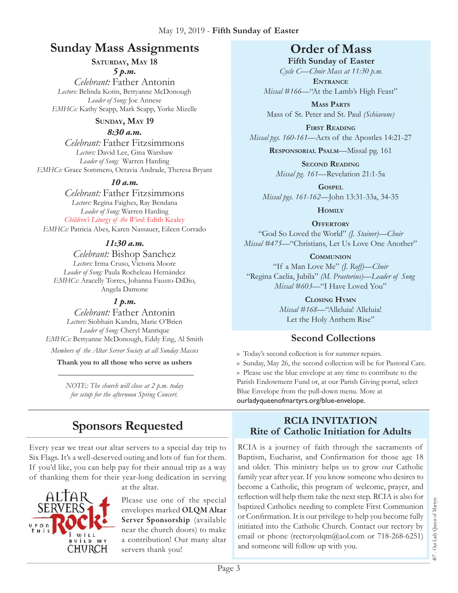## **Sunday Mass Assignments Order of Mass**

### SATURDAY, MAY 18

*5 p.m.* 

*Celebrant:* Father Antonin *Lectors:* Belinda Kotin, Bettyanne McDonough *Leader of Song:* Joe Annese *EMHCs:* Kathy Scapp, Mark Scapp, Yorke Mizelle

#### **SUNDAY, MAY 19**

*8:30 a.m.* 

*Celebrant:* Father Fitzsimmons *Lectors:* David Lee, Gina Warshaw *Leader of Song:* Warren Harding *EMHCs:* Grace Sommero, Octavia Andrade, Theresa Bryant

#### *10 a.m.*

*Celebrant:* Father Fitzsimmons *Lectors:* Regina Faighes, Ray Bendana *Leader of Song:* Warren Harding *Children's Liturgy of the Word:* Edith Kealey *EMHCs:* Patricia Abes, Karen Nassauer, Eileen Corrado

#### *11:30 a.m.*

*Celebrant:* Bishop Sanchez *Lectors:* Irma Cruso, Victoria Moore *Leader of Song:* Paula Rocheleau Hernández *EMHCs:* Aracelly Torres, Johanna Fausto-DiDio, Angela Damone

#### *1 p.m.*

*Celebrant:* Father Antonin *Lectors:* Siobhain Kandra, Marie O'Brien *Leader of Song:* Cheryl Manrique *EMHCs:* Bettyanne McDonough, Eddy Eng, Al Smith *Members of the Altar Server Society at all Sunday Masses*

**Thank you to all those who serve as ushers**

*Note: The church will close at 2 p.m. today for setup for the afternoon Spring Concert.* 

# **Sponsors Requested**

Every year we treat our altar servers to a special day trip to Six Flags. It's a well-deserved outing and lots of fun for them. If you'd like, you can help pay for their annual trip as a way of thanking them for their year-long dedication in serving



at the altar.

Please use one of the special envelopes marked OLQM Altar Server Sponsorship (available near the church doors) to make a contribution! Our many altar servers thank you!

**Fifth Sunday of Easter**  *Cycle C—Choir Mass at 11:30 p.m.* 

**Entrance** *Missal* #166—"At the Lamb's High Feast"

**Mass Parts** Mass of St. Peter and St. Paul *(Schiavone)*

**First Reading** *Missal pgs. 160-161—*Acts of the Apostles 14:21-27

**Responsorial Psalm**—Missal pg. 161

**Second Reading** *Missal pg. 161—*Revelation 21:1-5a

**Gospel** *Missal pgs. 161-162—*John 13:31-33a, 34-35

**Homily**

**Offertory** "God So Loved the World" *(J. Stainer)—Choir Missal #475—*"Christians, Let Us Love One Another"

#### **Communion**

"If a Man Love Me" *(J. Roff)—Choir* "Regina Caelia, Jubila" *(M. Praetorius)*—*Leader of Song Missal #603—*"I Have Loved You"

> **Closing Hymn** *Missal #168*—"Alleluia! Alleluia! Let the Holy Anthem Rise"

## **Second Collections**

›› Today's second collection is for summer repairs. ›› Sunday, May 26, the second collection will be for Pastoral Care. ›› Please use the blue envelope at any time to contribute to the Parish Endowment Fund or, at our Parish Giving portal, select Blue Envelope from the pull-down menu. More at ourladyqueenofmartyrs.org/blue-envelope.

#### **RCIA Invitation Rite of Catholic Initiation for Adults**

RCIA is a journey of faith through the sacraments of Baptism, Eucharist, and Confirmation for those age 18 and older. This ministry helps us to grow our Catholic family year after year. If you know someone who desires to become a Catholic, this program of welcome, prayer, and reflection will help them take the next step. RCIA is also for baptized Catholics needing to complete First Communion or Confirmation. It is our privilege to help you become fully initiated into the Catholic Church. Contact our rectory by email or phone ([rectoryolqm@aol.com](mailto:rectoryolqm@aol.com) or 718-268-6251) and someone will follow up with you.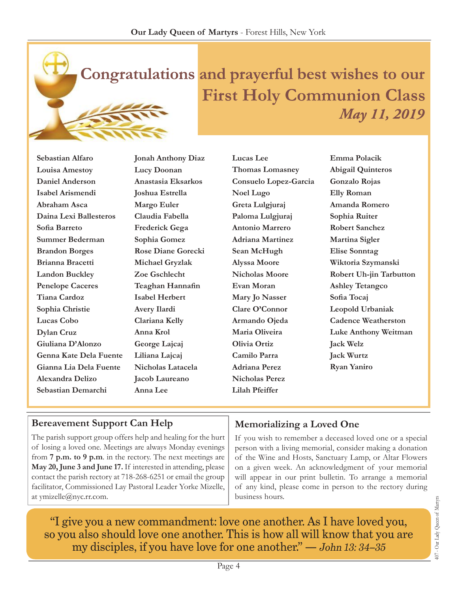

**Sebastian Alfaro Louisa Amestoy Daniel Anderson Isabel Arismendi Abraham Asca Daina Lexi Ballesteros Sofia Barreto Summer Bederman Brandon Borges Brianna Bracetti Landon Buckley Penelope Caceres Tiana Cardoz Sophia Christie Lucas Cobo Dylan Cruz Giuliana D'Alonzo Genna Kate Dela Fuente Gianna Lia Dela Fuente Alexandra Delizo Sebastian Demarchi**

**Jonah Anthony Diaz Lucy Doonan Anastasia Eksarkos Joshua Estrella Margo Euler Claudia Fabella Frederick Gega Sophia Gomez Rose Diane Gorecki Michael Gryzlak Zoe Gschlecht Teaghan Hannafin Isabel Herbert Avery Ilardi Clariana Kelly Anna Krol George Lajcaj Liliana Lajcaj Nicholas Latacela Jacob Laureano Anna Lee**

**Lucas Lee Thomas Lomasney Consuelo Lopez-Garcia Noel Lugo Greta Lulgjuraj Paloma Lulgjuraj Antonio Marrero Adriana Martinez Sean McHugh Alyssa Moore Nicholas Moore Evan Moran Mary Jo Nasser Clare O'Connor Armando Ojeda Maria Oliveira Olivia Ortiz Camilo Parra Adriana Perez Nicholas Perez Lilah Pfeiffer**

**Emma Polacik Abigail Quinteros Gonzalo Rojas Elly Roman Amanda Romero Sophia Ruiter Robert Sanchez Martina Sigler Elise Sonntag Wiktoria Szymanski Robert Uh-jin Tarbutton Ashley Tetangco Sofia Tocaj Leopold Urbaniak Cadence Weatherston Luke Anthony Weitman Jack Welz Jack Wurtz Ryan Yaniro**

## **Bereavement Support Can Help**

The parish support group offers help and healing for the hurt of losing a loved one. Meetings are always Monday evenings from **7 p.m. to 9 p.m**. in the rectory. The next meetings are **May 20, June 3 and June 17.** If interested in attending, please contact the parish rectory at 718-268-6251 or email the group facilitator, Commissioned Lay Pastoral Leader Yorke Mizelle, at [ymizelle@nyc.rr.com](mailto:ymizelle@nyc.rr.com).

## **Memorializing a Loved One**

If you wish to remember a deceased loved one or a special person with a living memorial, consider making a donation of the Wine and Hosts, Sanctuary Lamp, or Altar Flowers on a given week. An acknowledgment of your memorial will appear in our print bulletin. To arrange a memorial of any kind, please come in person to the rectory during business hours.

"I give you a new commandment: love one another. As I have loved you, so you also should love one another. This is how all will know that you are my disciples, if you have love for one another." — John 13: 34–35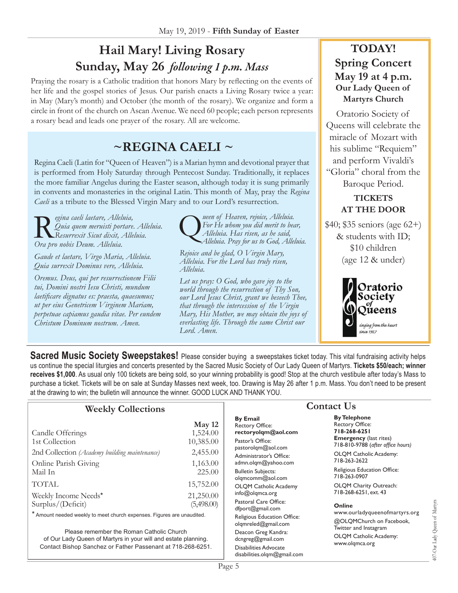# **Hail Mary! Living Rosary Sunday, May 26** *following 1 p.m. Mass*

Praying the rosary is a Catholic tradition that honors Mary by reflecting on the events of her life and the gospel stories of Jesus. Our parish enacts a Living Rosary twice a year: in May (Mary's month) and October (the month of the rosary). We organize and form a circle in front of the church on Ascan Avenue. We need 60 people; each person represents a rosary bead and leads one prayer of the rosary. All are welcome.

# **~Regina Caeli ~**

Regina Caeli (Latin for "Queen of Heaven") is a Marian hymn and devotional prayer that is performed from Holy Saturday through Pentecost Sunday. Traditionally, it replaces the more familiar Angelus during the Easter season, although today it is sung primarily in convents and monasteries in the original Latin. This month of May, pray the *Regina Caeli* as a tribute to the Blessed Virgin Mary and to our Lord's resurrection.

egina caeli laetare, Alleluia,<br>Quia quem meruisti portare.<br>Ora pro nobis Deum, Alleluia *Quia quem meruisti portare. Alleluia. Resurrexit Sicut dixit, Alleluia. Ora pro nobis Deum. Alleluia.*

*Gaude et laetare, Virgo Maria, Alleluia. Quia surrexit Dominus vere, Alleluia.*

*Oremus. Deus, qui per resurrectionem Filii tui, Domini nostri Iesu Christi, mundum laetificare dignatus es: praesta, quaesumus; ut per eius Genetricem Virginem Mariam, perpetuae capiamus gaudia vitae. Per eundem Christum Dominum nostrum. Amen.*

ueen of Heaven, rejoice, Alleluia.<br>For He whom you did merit to bee<br>Alleluia. Has risen, as he said, *For He whom you did merit to bear, Alleluia. Pray for us to God, Alleluia.* 

*Rejoice and be glad, O Virgin Mary, Alleluia. For the Lord has truly risen, Alleluia.*

*Let us pray: O God, who gave joy to the world through the resurrection of Thy Son, our Lord Jesus Christ, grant we beseech Thee, that through the intercession of the Virgin Mary, His Mother, we may obtain the joys of everlasting life. Through the same Christ our Lord. Amen.*

## **TODAY! Spring Concert May 19 at 4 p.m. Our Lady Queen of Martyrs Church**

Oratorio Society of Queens will celebrate the miracle of Mozart with his sublime "Requiem" and perform Vivaldi's "Gloria" choral from the Baroque Period.

#### **TICKETS AT THE DOOR**

\$40; \$35 seniors (age 62+) & students with ID; \$10 children (age 12 & under)



**Sacred Music Society Sweepstakes!** Please consider buying a sweepstakes ticket today. This vital fundraising activity helps us continue the special liturgies and concerts presented by the Sacred Music Society of Our Lady Queen of Martyrs. **Tickets \$50/each; winner receives \$1,000**. As usual only 100 tickets are being sold, so your winning probability is good! Stop at the church vestibule after today's Mass to purchase a ticket. Tickets will be on sale at Sunday Masses next week, too. Drawing is May 26 after 1 p.m. Mass. You don't need to be present at the drawing to win; the bulletin will announce the winner. GOOD LUCK AND THANK YOU.

#### **Weekly Collections**

| Candle Offerings<br>1st Collection            | May 12<br>1,524.00<br>10,385.00 |
|-----------------------------------------------|---------------------------------|
| 2nd Collection (Academy building maintenance) | 2,455.00                        |
| Online Parish Giving<br>Mail In               | 1,163.00<br>225.00              |
| <b>TOTAL</b>                                  | 15,752.00                       |
| Weekly Income Needs*<br>Surplus/(Deficit)     | 21,250.00<br>(5,498.00)         |

\* Amount needed weekly to meet church expenses. Figures are unaudited.

Please remember the Roman Catholic Church of Our Lady Queen of Martyrs in your will and estate planning. Contact Bishop Sanchez or Father Passenant at 718-268-6251.

#### **By Email** Rectory Office: **rectoryolqm@aol.com** Pastor's Office: pastorolqm@aol.com Administrator's Office: admn.olqm@yahoo.com Bulletin Subjects: olqmcomm@aol.com OLQM Catholic Academy info@olqmca.org Pastoral Care Office: dfport@gmail.com Religious Education Office: olqmreled@gmail.com Deacon Greg Kandra: dcngreg@gmail.com Disabilities Advocate [disabilities.olqm@gmail.com](mailto:disabilities.olqm@gmail.com)

## **Contact Us**

**By Telephone** Rectory Office: **718-268-6251 Emergency** (last rites) 718-810-9788 (*after office hours)* OLQM Catholic Academy:

718-263-2622

Religious Education Office: 718-263-0907

OLQM Charity Outreach: 718-268-6251, ext. 43

#### **Online**

www.ourladyqueenofmartyrs.org @OLQMChurch on Facebook, Twitter and Instagram OLQM Catholic Academy: www.olqmca.org